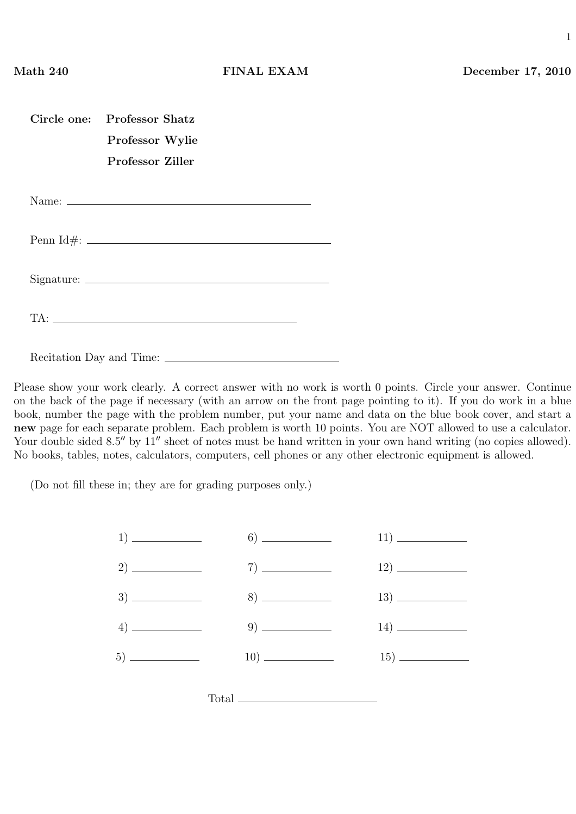1

| Circle one: Professor Shatz |  |
|-----------------------------|--|
| Professor Wylie             |  |
| Professor Ziller            |  |
|                             |  |
|                             |  |
|                             |  |
|                             |  |
|                             |  |
|                             |  |
| TA:                         |  |
|                             |  |

Recitation Day and Time:

Please show your work clearly. A correct answer with no work is worth 0 points. Circle your answer. Continue on the back of the page if necessary (with an arrow on the front page pointing to it). If you do work in a blue book, number the page with the problem number, put your name and data on the blue book cover, and start a new page for each separate problem. Each problem is worth 10 points. You are NOT allowed to use a calculator. Your double sided 8.5" by 11" sheet of notes must be hand written in your own hand writing (no copies allowed). No books, tables, notes, calculators, computers, cell phones or any other electronic equipment is allowed.

(Do not fill these in; they are for grading purposes only.)

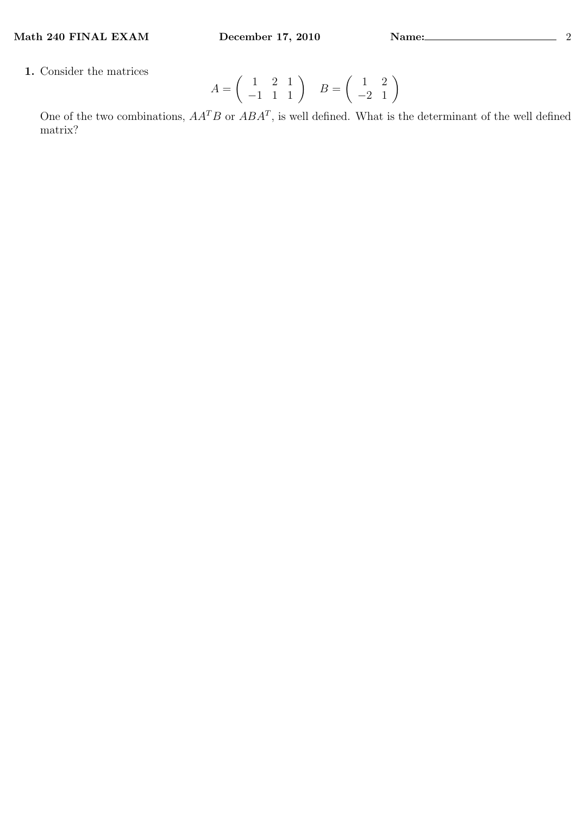1. Consider the matrices

$$
A = \left(\begin{array}{rr} 1 & 2 & 1 \\ -1 & 1 & 1 \end{array}\right) \quad B = \left(\begin{array}{rr} 1 & 2 \\ -2 & 1 \end{array}\right)
$$

One of the two combinations,  $AA^T B$  or  $ABA^T$ , is well defined. What is the determinant of the well defined matrix?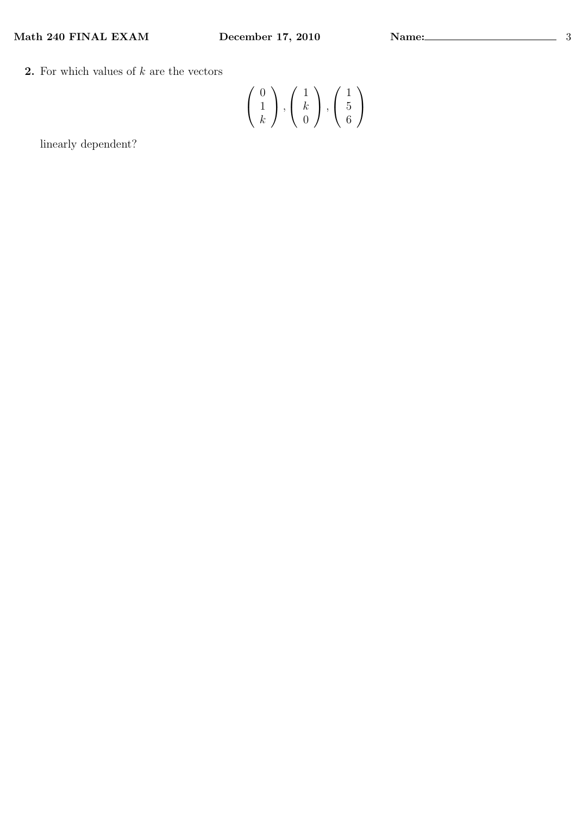Math 240 FINAL EXAM December 17, 2010 Name: 33

**2.** For which values of  $k$  are the vectors

$$
\left(\begin{array}{c}0\\1\\k\end{array}\right), \left(\begin{array}{c}1\\k\\0\end{array}\right), \left(\begin{array}{c}1\\5\\6\end{array}\right)
$$

linearly dependent?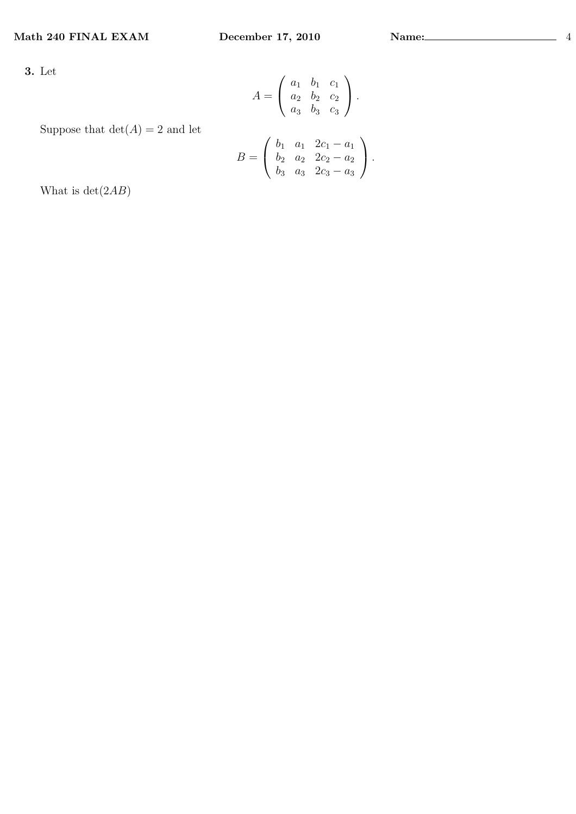3. Let

$$
A = \left(\begin{array}{ccc} a_1 & b_1 & c_1 \\ a_2 & b_2 & c_2 \\ a_3 & b_3 & c_3 \end{array}\right).
$$

## Suppose that  $det(A) = 2$  and let

$$
B = \left(\begin{array}{cccc} b_1 & a_1 & 2c_1 - a_1 \\ b_2 & a_2 & 2c_2 - a_2 \\ b_3 & a_3 & 2c_3 - a_3 \end{array}\right).
$$

What is  $det(2AB)$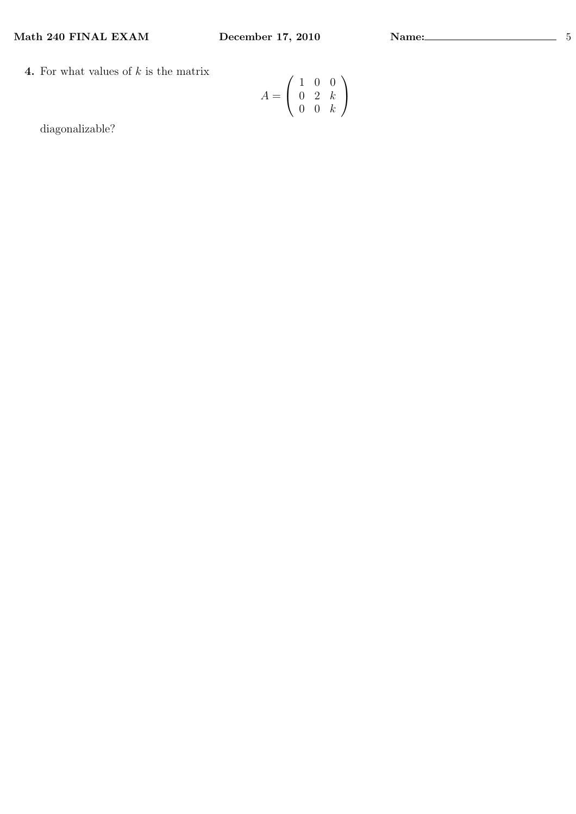Math 240 FINAL EXAM December 17, 2010 Name: 5

4. For what values of  $k$  is the matrix

$$
A = \left(\begin{array}{rrr} 1 & 0 & 0 \\ 0 & 2 & k \\ 0 & 0 & k \end{array}\right)
$$

diagonalizable?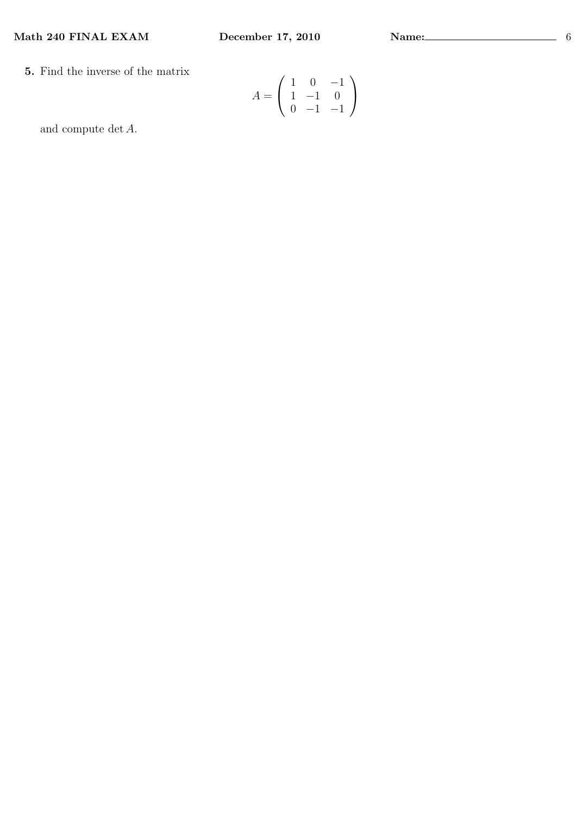5. Find the inverse of the matrix

$$
A = \left(\begin{array}{rrr} 1 & 0 & -1 \\ 1 & -1 & 0 \\ 0 & -1 & -1 \end{array}\right)
$$

and compute det A.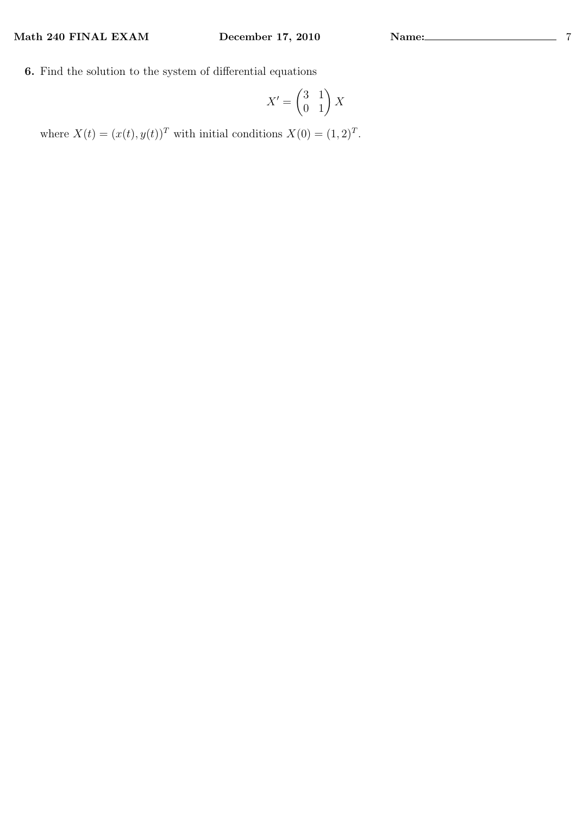6. Find the solution to the system of differential equations

$$
X' = \begin{pmatrix} 3 & 1 \\ 0 & 1 \end{pmatrix} X
$$

where  $X(t) = (x(t), y(t))^T$  with initial conditions  $X(0) = (1, 2)^T$ .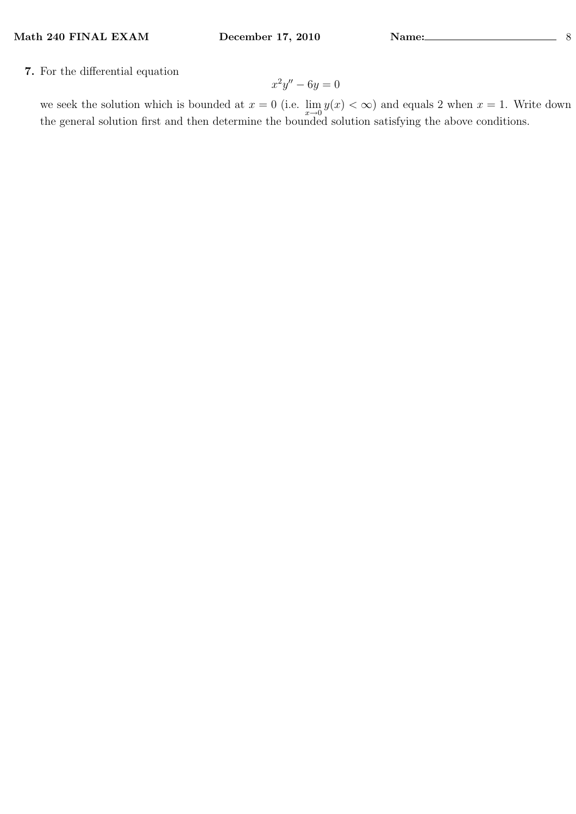7. For the differential equation

$$
x^2y'' - 6y = 0
$$

we seek the solution which is bounded at  $x = 0$  (i.e.  $\lim_{x\to 0} y(x) < \infty$ ) and equals 2 when  $x = 1$ . Write down the general solution first and then determine the bounded solution satisfying the above conditions.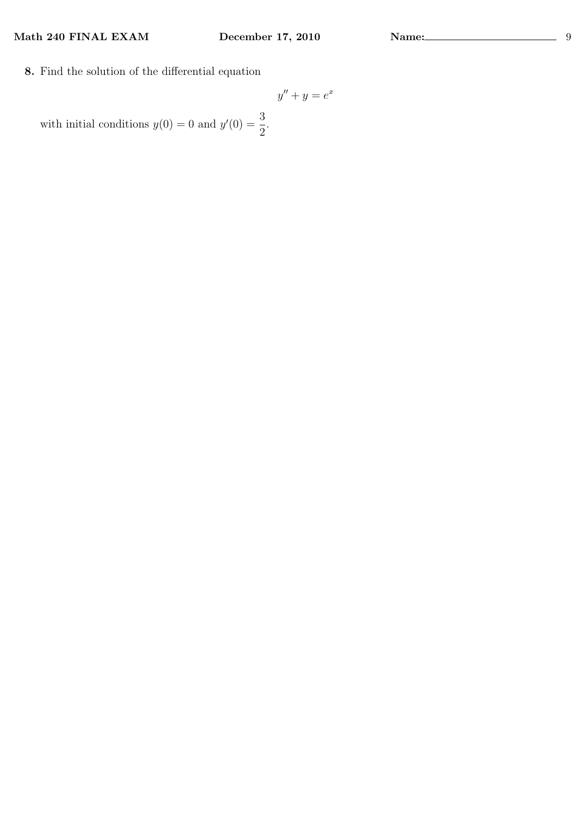8. Find the solution of the differential equation

$$
y'' + y = e^x
$$

with initial conditions  $y(0) = 0$  and  $y'(0) = \frac{3}{2}$ 2 .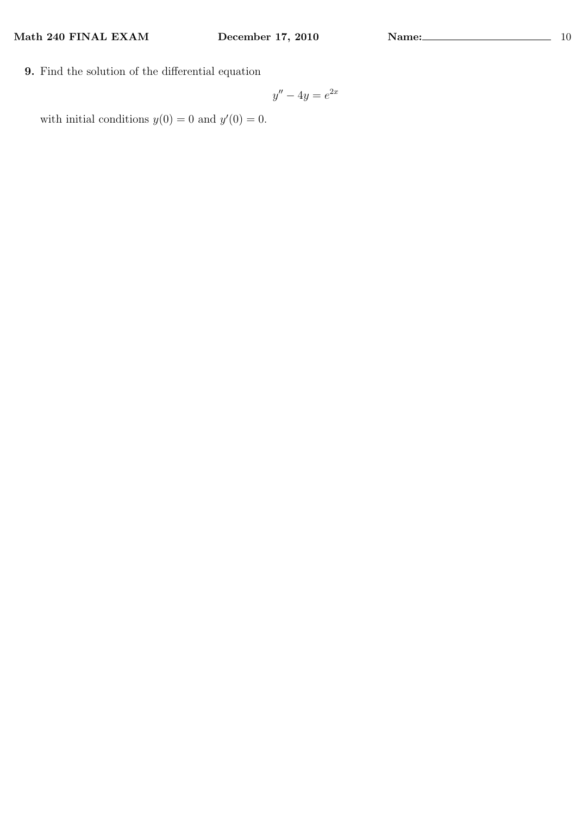9. Find the solution of the differential equation

$$
y'' - 4y = e^{2x}
$$

with initial conditions  $y(0) = 0$  and  $y'(0) = 0$ .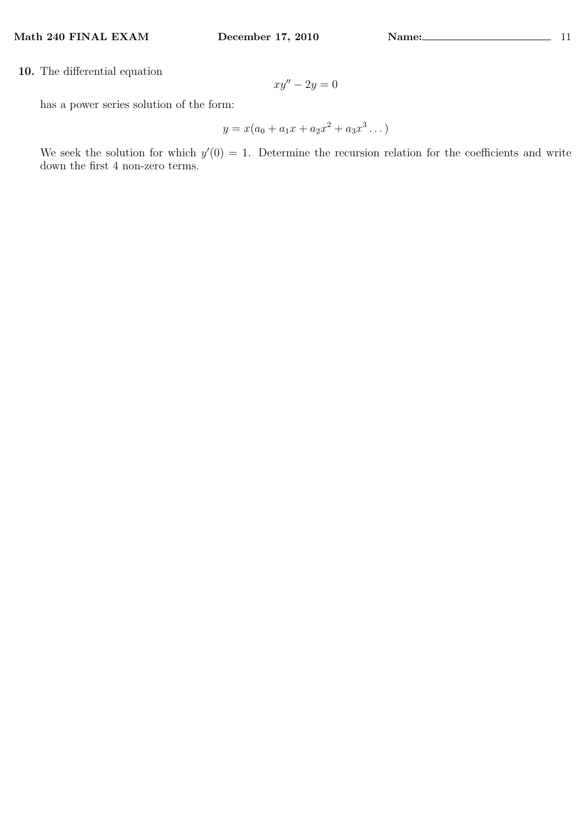10. The differential equation

 $xy'' - 2y = 0$ 

has a power series solution of the form:

$$
y = x(a_0 + a_1x + a_2x^2 + a_3x^3 \dots)
$$

We seek the solution for which  $y'(0) = 1$ . Determine the recursion relation for the coefficients and write down the first 4 non-zero terms.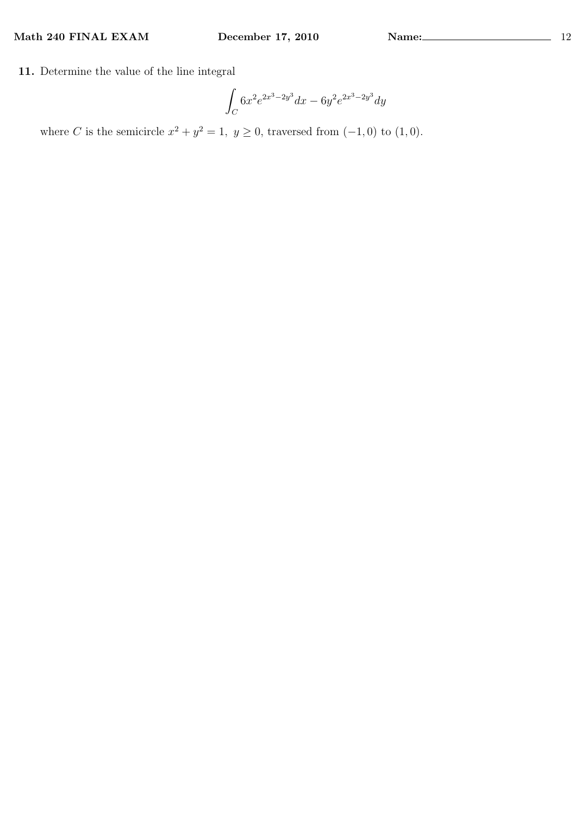11. Determine the value of the line integral

$$
\int_C 6x^2 e^{2x^3 - 2y^3} dx - 6y^2 e^{2x^3 - 2y^3} dy
$$

where C is the semicircle  $x^2 + y^2 = 1$ ,  $y \ge 0$ , traversed from  $(-1, 0)$  to  $(1, 0)$ .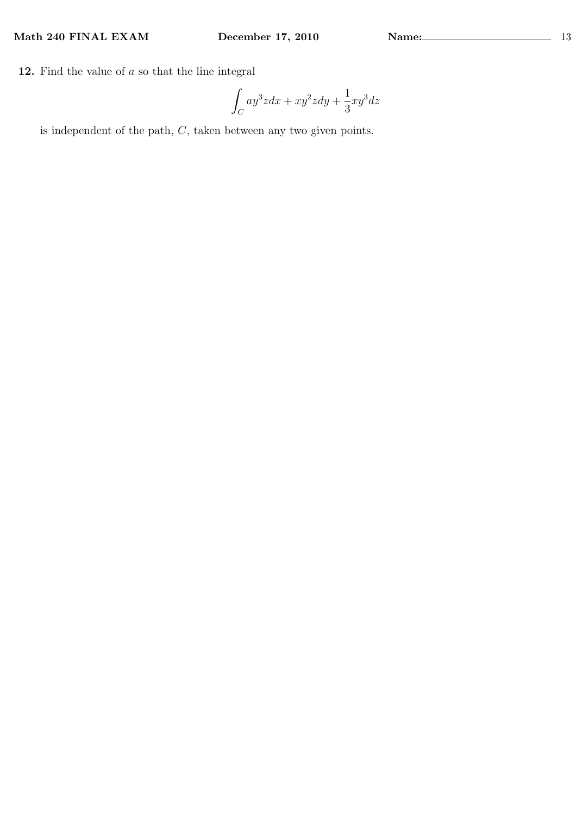12. Find the value of  $a$  so that the line integral

$$
\int_C ay^3zdx+xy^2zdy+\frac{1}{3}xy^3dz
$$

is independent of the path, C, taken between any two given points.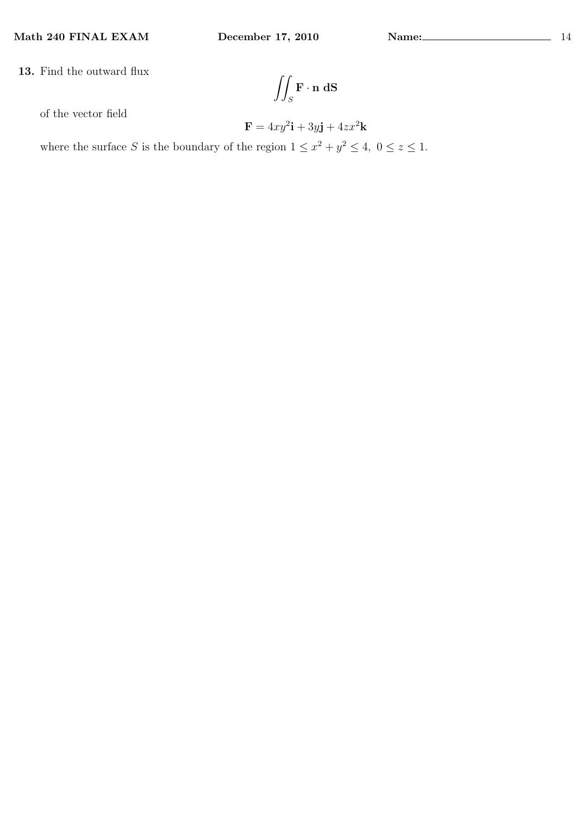13. Find the outward flux

$$
\iint_S \mathbf{F} \cdot \mathbf{n} \; \mathrm{d} \mathbf{S}
$$

of the vector field

$$
\mathbf{F} = 4xy^2\mathbf{i} + 3y\mathbf{j} + 4zx^2\mathbf{k}
$$

where the surface S is the boundary of the region  $1 \leq x^2 + y^2 \leq 4$ ,  $0 \leq z \leq 1$ .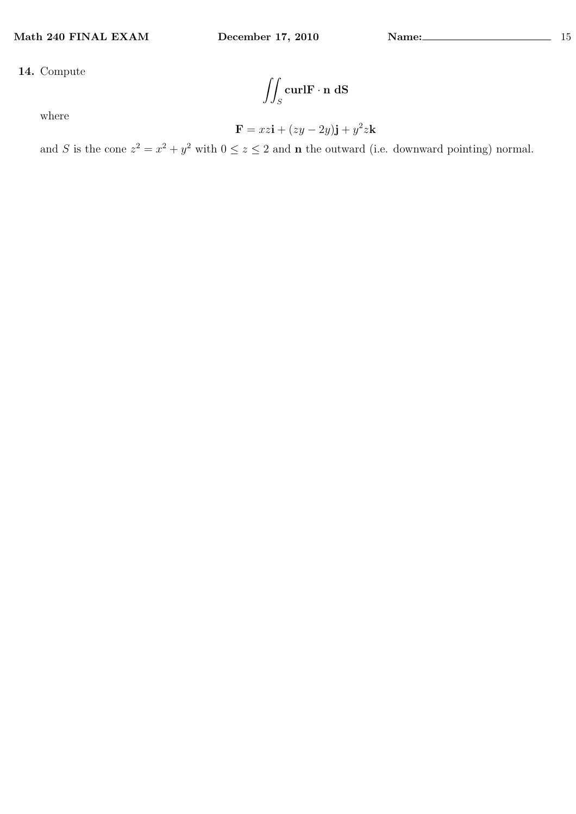$\overline{a}$ S  $\operatorname{curl} \mathbf{F} \cdot \mathbf{n} \ \mathrm{d} \mathbf{S}$ 

where

$$
\mathbf{F} = xz\mathbf{i} + (zy - 2y)\mathbf{j} + y^2z\mathbf{k}
$$

and S is the cone  $z^2 = x^2 + y^2$  with  $0 \le z \le 2$  and **n** the outward (i.e. downward pointing) normal.